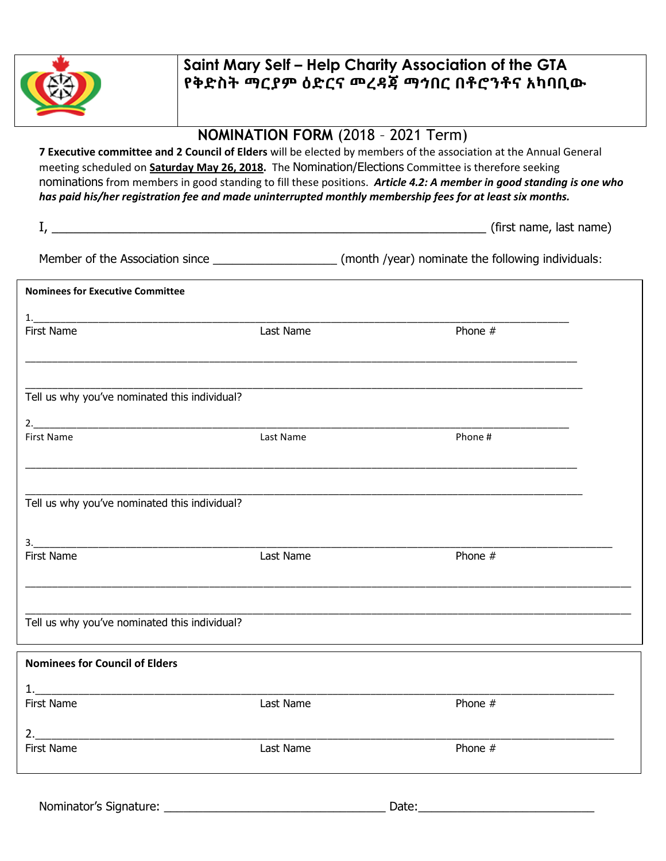

## Saint Mary Self – Help Charity Association of the GTA የቅድስት ማርያም ዕድርና መረዳጃ ማኅበር በቶሮንቶና አካባቢው

## NOMINATION FORM (2018 – 2021 Term)

7 Executive committee and 2 Council of Elders will be elected by members of the association at the Annual General meeting scheduled on **Saturday May 26, 2018.** The Nomination/Elections Committee is therefore seeking nominations from members in good standing to fill these positions. Article 4.2: A member in good standing is one who has paid his/her registration fee and made uninterrupted monthly membership fees for at least six months.

| <b>Nominees for Executive Committee</b>       |           |           |  |
|-----------------------------------------------|-----------|-----------|--|
|                                               |           |           |  |
| First Name                                    | Last Name | Phone $#$ |  |
| Tell us why you've nominated this individual? |           |           |  |
|                                               |           |           |  |
| <b>First Name</b>                             | Last Name | Phone #   |  |
| Tell us why you've nominated this individual? |           |           |  |
|                                               |           |           |  |
| <b>First Name</b>                             | Last Name | Phone $#$ |  |
| Tell us why you've nominated this individual? |           |           |  |
| <b>Nominees for Council of Elders</b>         |           |           |  |
|                                               |           |           |  |
| First Name                                    | Last Name | Phone $#$ |  |

| 2          |           |         |  |
|------------|-----------|---------|--|
| First Name | Last Name | Phone # |  |
|            |           |         |  |
|            |           |         |  |

Nominator's Signature: \_\_\_\_\_\_\_\_\_\_\_\_\_\_\_\_\_\_\_\_\_\_\_\_\_\_\_\_\_\_\_\_\_\_ Date:\_\_\_\_\_\_\_\_\_\_\_\_\_\_\_\_\_\_\_\_\_\_\_\_\_\_\_